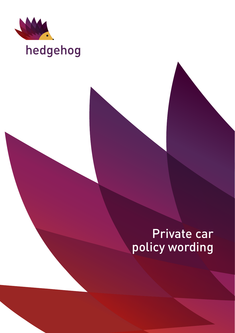

# hedgehog

# Private car policy wording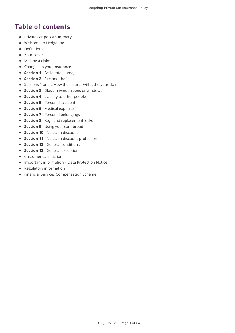# Table of contents

- Private car policy summary
- Welcome to Hedgehog
- Definitions
- Your cover
- Making a claim
- Changes to your insurance
- **Section 1** Accidental damage
- **Section 2** Fire and theft
- Sections 1 and 2 How the insurer will settle your claim
- **Section 3** Glass in windscreens or windows
- **Section 4** Liability to other people
- **Section 5** Personal accident
- **Section 6** Medical expenses
- **Section 7** Personal belongings
- **Section 8** Keys and replacement locks
- **Section 9** Using your car abroad
- **Section 10** No claim discount
- **Section 11** No claim discount protection
- **Section 12** General conditions
- **Section 13** General exceptions
- Customer satisfaction
- Important information Data Protection Notice
- Regulatory information
- Financial Services Compensation Scheme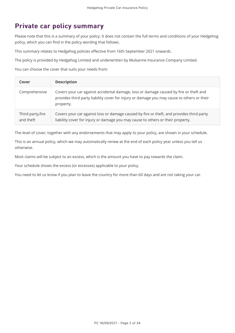# Private car policy summary

Please note that this is a summary of your policy. It does not contain the full terms and conditions of your Hedgehog policy, which you can find in the policy wording that follows.

This summary relates to Hedgehog policies effective from 16th September 2021 onwards.

The policy is provided by Hedgehog Limited and underwritten by Mulsanne Insurance Company Limited.

You can choose the cover that suits your needs from:

| Cover                          | <b>Description</b>                                                                                                                                                                               |
|--------------------------------|--------------------------------------------------------------------------------------------------------------------------------------------------------------------------------------------------|
| Comprehensive                  | Covers your car against accidental damage, loss or damage caused by fire or theft and<br>provides third party liability cover for injury or damage you may cause to others or their<br>property. |
| Third party, fire<br>and theft | Covers your car against loss or damage caused by fire or theft, and provides third party<br>liability cover for injury or damage you may cause to others or their property.                      |

The level of cover, together with any endorsements that may apply to your policy, are shown in your schedule.

This is an annual policy, which we may automatically renew at the end of each policy year unless you tell us otherwise.

Most claims will be subject to an excess, which is the amount you have to pay towards the claim.

Your schedule shows the excess (or excesses) applicable to your policy.

You need to let us know if you plan to leave the country for more than 60 days and are not taking your car.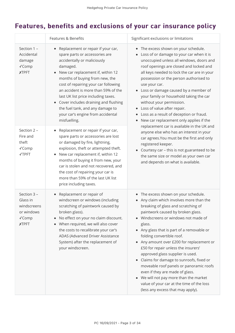# Features, benefits and exclusions of your car insurance policy

|                                                                               | Features & Benefits                                                                                                                                                                                                                                                                                                                                                                                                                                  | Significant exclusions or limitations                                                                                                                                                                                                                                                                                                                                                                                                                                                                                                                                                                                                                                                                                                                                                                                                              |
|-------------------------------------------------------------------------------|------------------------------------------------------------------------------------------------------------------------------------------------------------------------------------------------------------------------------------------------------------------------------------------------------------------------------------------------------------------------------------------------------------------------------------------------------|----------------------------------------------------------------------------------------------------------------------------------------------------------------------------------------------------------------------------------------------------------------------------------------------------------------------------------------------------------------------------------------------------------------------------------------------------------------------------------------------------------------------------------------------------------------------------------------------------------------------------------------------------------------------------------------------------------------------------------------------------------------------------------------------------------------------------------------------------|
| Section 1 -<br>Accidental<br>damage<br>√Comp<br><b>XTPFT</b>                  | Replacement or repair if your car,<br>٠<br>spare parts or accessories are<br>accidentally or maliciously<br>damaged.<br>New car replacement if, within 12<br>months of buying from new, the<br>cost of repairing your car following<br>an accident is more than 59% of the<br>last UK list price including taxes.<br>• Cover includes draining and flushing<br>the fuel tank, and any damage to<br>your car's engine from accidental<br>misfuelling. | The excess shown on your schedule.<br>٠<br>Loss of or damage to your car when it is<br>unoccupied unless all windows, doors and<br>roof openings are closed and locked and<br>all keys needed to lock the car are in your<br>possession or the person authorised to<br>use your car.<br>Loss or damage caused by a member of<br>your family or household taking the car<br>without your permission.<br>Loss of value after repair.<br>٠<br>Loss as a result of deception or fraud.<br>$\bullet$<br>New car replacement only applies if the<br>$\bullet$<br>replacement car is available in the UK and<br>anyone else who has an interest in your<br>car agrees. You must be the first and only<br>registered keeper.<br>Courtesy car - this is not guaranteed to be<br>the same size or model as your own car<br>and depends on what is available. |
| Section 2 -<br>Fire and<br>theft<br>√Comp<br>√TPFT                            | Replacement or repair if your car,<br>$\bullet$<br>spare parts or accessories are lost<br>or damaged by fire, lightning,<br>explosion, theft or attempted theft.<br>New car replacement if, within 12<br>months of buying it from new, your<br>car is stolen and not recovered, and<br>the cost of repairing your car is<br>more than 59% of the last UK list<br>price including taxes.                                                              |                                                                                                                                                                                                                                                                                                                                                                                                                                                                                                                                                                                                                                                                                                                                                                                                                                                    |
| Section 3 -<br>Glass in<br>windscreens<br>or windows<br>√Comp<br><b>XTPFT</b> | Replacement or repair of<br>$\bullet$<br>windscreen or windows (including<br>scratching of paintwork caused by<br>broken glass).<br>No effect on your no claim discount.<br>$\bullet$<br>When required, we will also cover<br>۰<br>the costs to recalibrate your car's<br>ADAS (Advanced Driver Assistance<br>System) after the replacement of<br>your windscreen.                                                                                   | • The excess shown on your schedule.<br>Any claim which involves more than the<br>breaking of glass and scratching of<br>paintwork caused by broken glass.<br>Windscreens or windows not made of<br>$\bullet$<br>glass.<br>Any glass that is part of a removable or<br>$\bullet$<br>folding convertible roof.<br>Any amount over £200 for replacement or<br>$\bullet$<br>£50 for repair unless the insurers'<br>approved glass supplier is used.<br>• Claims for damage to sunroofs, fixed or<br>moveable roof panels or panoramic roofs<br>even if they are made of glass.<br>We will not pay more than the market<br>value of your car at the time of the loss<br>(less any excess that may apply).                                                                                                                                              |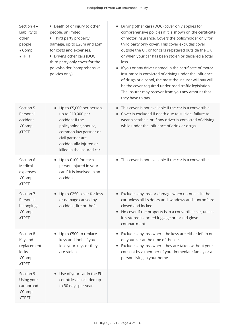| Section 4 -<br>Liability to<br>other<br>people<br>√Comp<br>√TPFT        | • Death of or injury to other<br>people, unlimited.<br>• Third party property<br>damage, up to £20m and £5m<br>for costs and expenses.<br>• Driving other cars (DOC)<br>third party only cover for the<br>policyholder (comprehensive<br>policies only). | Driving other cars (DOC) cover only applies for<br>comprehensive policies if it is shown on the certificate<br>of motor insurance. Covers the policyholder only for<br>third party only cover. This cover excludes cover<br>outside the UK or for cars registered outside the UK<br>or when your car has been stolen or declared a total<br>loss.<br>If you or any driver named in the certificate of motor<br>insurance is convicted of driving under the influence<br>of drugs or alcohol, the most the insurer will pay will<br>be the cover required under road traffic legislation.<br>The insurer may recover from you any amount that<br>they have to pay. |
|-------------------------------------------------------------------------|----------------------------------------------------------------------------------------------------------------------------------------------------------------------------------------------------------------------------------------------------------|-------------------------------------------------------------------------------------------------------------------------------------------------------------------------------------------------------------------------------------------------------------------------------------------------------------------------------------------------------------------------------------------------------------------------------------------------------------------------------------------------------------------------------------------------------------------------------------------------------------------------------------------------------------------|
| Section 5 -<br>Personal<br>accident<br>√Comp<br><b>XTPFT</b>            | Up to £5,000 per person,<br>$\bullet$<br>up to £10,000 per<br>accident if the<br>policyholder, spouse,<br>common law partner or<br>civil partner are<br>accidentally injured or<br>killed in the insured car.                                            | This cover is not available if the car is a convertible.<br>Cover is excluded if death due to suicide, failure to<br>wear a seatbelt, or if any driver is convicted of driving<br>while under the influence of drink or drugs.                                                                                                                                                                                                                                                                                                                                                                                                                                    |
| Section 6 -<br>Medical<br>expenses<br>√Comp<br><b>XTPFT</b>             | • Up to £100 for each<br>person injured in your<br>car if it is involved in an<br>accident.                                                                                                                                                              | This cover is not available if the car is a convertible.                                                                                                                                                                                                                                                                                                                                                                                                                                                                                                                                                                                                          |
| Section 7 -<br>Personal<br>belongings<br>√Comp<br><b>XTPFT</b>          | Up to £250 cover for loss<br>$\bullet$<br>or damage caused by<br>accident, fire or theft.                                                                                                                                                                | • Excludes any loss or damage when no-one is in the<br>car unless all its doors and, windows and sunroof are<br>closed and locked.<br>No cover if the property is in a convertible car, unless<br>it is stored in locked luggage or locked glove<br>compartment.                                                                                                                                                                                                                                                                                                                                                                                                  |
| Section 8 -<br>Key and<br>replacement<br>locks<br>√Comp<br><b>XTPFT</b> | Up to £500 to replace<br>$\bullet$<br>keys and locks if you<br>lose your keys or they<br>are stolen.                                                                                                                                                     | Excludes any loss where the keys are either left in or<br>on your car at the time of the loss.<br>Excludes any loss where they are taken without your<br>$\bullet$<br>consent by a member of your immediate family or a<br>person living in your home.                                                                                                                                                                                                                                                                                                                                                                                                            |
| Section 9 -<br>Using your<br>car abroad<br>√Comp<br>√TPFT               | • Use of your car in the EU<br>countries is included up<br>to 30 days per year.                                                                                                                                                                          |                                                                                                                                                                                                                                                                                                                                                                                                                                                                                                                                                                                                                                                                   |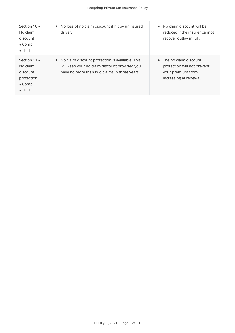| Section 10 -<br>No claim<br>discount<br>$\sqrt{C}$ omp<br><b>√TPFT</b>                 | • No loss of no claim discount if hit by uninsured<br>driver.                                                                                      | • No claim discount will be<br>reduced if the insurer cannot<br>recover outlay in full.                       |
|----------------------------------------------------------------------------------------|----------------------------------------------------------------------------------------------------------------------------------------------------|---------------------------------------------------------------------------------------------------------------|
| Section $11 -$<br>No claim<br>discount<br>protection<br>$\sqrt{C}$ omp<br><b>√TPFT</b> | • No claim discount protection is available. This<br>will keep your no claim discount provided you<br>have no more than two claims in three years. | $\bullet$ The no claim discount<br>protection will not prevent<br>your premium from<br>increasing at renewal. |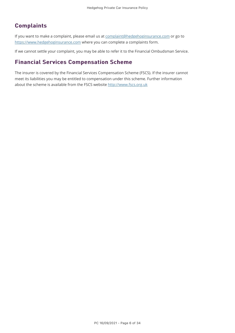### **Complaints**

If you want to make a complaint, please email us at [complaint@hedgehoginsurance.com](mailto:complaint@hedgehoginsurance.com) or go to [https://www.hedgehoginsurance.com](https://www.hedgehoginsurance.com/) where you can complete a complaints form.

If we cannot settle your complaint, you may be able to refer it to the Financial Ombudsman Service.

### **Financial Services Compensation Scheme**

The insurer is covered by the Financial Services Compensation Scheme (FSCS). If the insurer cannot meet its liabilities you may be entitled to compensation under this scheme. Further information about the scheme is available from the FSCS website [http://www.fscs.org.uk](http://www.fscs.org.uk/)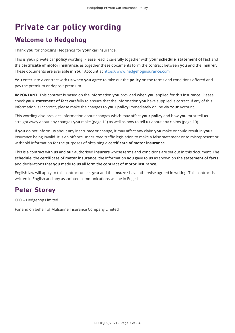# Private car policy wording Private car policy wording

# **Welcome to Hedgehog**

Thank **you** for choosing Hedgehog for **your** car insurance.

This is **your** private car **policy** wording. Please read it carefully together with **your schedule**, **statement of fact** and the **certificate of motor insurance**, as together these documents form the contract between **you** and the **insurer**. These documents are available in **Your** Account at [https://www.hedgehoginsurance.com](https://www.hedgehoginsurance.com/)

**You** enter into a contract with **us** when **you** agree to take out the **policy** on the terms and conditions offered and pay the premium or deposit premium.

**IMPORTANT**: This contract is based on the information **you** provided when **you** applied for this insurance. Please check **your statement of fact** carefully to ensure that the information **you** have supplied is correct. If any of this information is incorrect, please make the changes to **your policy** immediately online via **Your** Account.

This wording also provides information about changes which may affect **your policy** and how **you** must tell **us** straight away about any changes **you** make (page 11) as well as how to tell **us** about any claims (page 10).

If **you** do not inform **us** about any inaccuracy or change, it may affect any claim **you** make or could result in **your** insurance being invalid. It is an offence under road traffic legislation to make a false statement or to misrepresent or withhold information for the purposes of obtaining a **certificate of motor insurance**.

This is a contract with **us** and **our** authorised **insurers** whose terms and conditions are set out in this document. The **schedule**, the **certificate of motor insurance**, the information **you** gave to **us** as shown on the **statement of facts** and declarations that **you** made to **us** all form the **contract of motor insurance**.

English law will apply to this contract unless **you** and the **insurer** have otherwise agreed in writing. This contract is written in English and any associated communications will be in English.

### **Peter Storey**

CEO – Hedgehog Limited

For and on behalf of Mulsanne Insurance Company Limited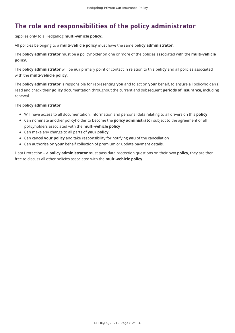# The role and responsibilities of the policy administrator

(applies only to a Hedgehog **multi-vehicle policy**).

All policies belonging to a **multi-vehicle policy** must have the same **policy administrator**.

The **policy administrator** must be a policyholder on one or more of the policies associated with the **multi-vehicle policy**.

The **policy administrator** will be **our** primary point of contact in relation to this **policy** and all policies associated with the **multi-vehicle policy**.

The **policy administrator** is responsible for representing **you** and to act on **your** behalf, to ensure all policyholder(s) read and check their **policy** documentation throughout the current and subsequent **periods of insurance**, including renewal.

#### The **policy administrator**:

- Will have access to all documentation, information and personal data relating to all drivers on this **policy**
- Can nominate another policyholder to become the **policy administrator** subject to the agreement of all policyholders associated with the **multi-vehicle policy**
- Can make any change to all parts of **your policy**
- Can cancel **your policy** and take responsibility for notifying **you** of the cancellation
- Can authorise on **your** behalf collection of premium or update payment details.

Data Protection – A **policy administrator** must pass data protection questions on their own **policy**, they are then free to discuss all other policies associated with the **multi-vehicle policy**.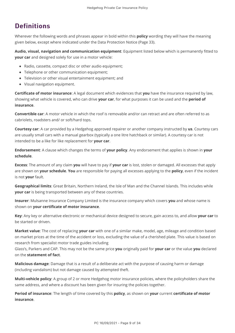# **Definitions**

Wherever the following words and phrases appear in bold within this **policy** wording they will have the meaning given below, except where indicated under the Data Protection Notice (Page 33).

**Audio, visual, navigation and communication equipment**: Equipment listed below which is permanently fitted to **your car** and designed solely for use in a motor vehicle:

- Radio, cassette, compact disc or other audio equipment;
- Telephone or other communication equipment;
- Television or other visual entertainment equipment; and
- Visual navigation equipment.

**Certificate of motor insurance**: A legal document which evidences that **you** have the insurance required by law, showing what vehicle is covered, who can drive **your car**, for what purposes it can be used and the **period of insurance**.

**Convertible car**: A motor vehicle in which the roof is removable and/or can retract and are often referred to as cabriolets, roadsters and/ or soft/hard tops.

**Courtesy car**: A car provided by a Hedgehog approved repairer or another company instructed by **us**. Courtesy cars are usually small cars with a manual gearbox (typically a one litre hatchback or similar). A courtesy car is not intended to be a like for like replacement for **your car**.

**Endorsement**: A clause which changes the terms of **your policy**. Any endorsement that applies is shown in **your schedule**.

**Excess**: The amount of any claim **you** will have to pay if **your car** is lost, stolen or damaged. All excesses that apply are shown on **your schedule**. **You** are responsible for paying all excesses applying to the **policy**, even if the incident is not **your** fault.

**Geographical limits**: Great Britain, Northern Ireland, the Isle of Man and the Channel Islands. This includes while **your car** is being transported between any of these countries.

**Insurer**: Mulsanne Insurance Company Limited is the insurance company which covers **you** and whose name is shown on **your certificate of motor insurance**.

**Key**: Any key or alternative electronic or mechanical device designed to secure, gain access to, and allow **your car** to be started or driven.

**Market value**: The cost of replacing **your car** with one of a similar make, model, age, mileage and condition based on market prices at the time of the accident or loss, excluding the value of a cherished plate. This value is based on research from specialist motor trade guides including

Glass's, Parkers and CAP. This may not be the same price **you** originally paid for **your car** or the value **you** declared on the **statement of fact**.

**Malicious damage**: Damage that is a result of a deliberate act with the purpose of causing harm or damage (including vandalism) but not damage caused by attempted theft.

**Multi-vehicle policy**: A group of 2 or more Hedgehog motor insurance policies, where the policyholders share the same address, and where a discount has been given for insuring the policies together.

**Period of insurance**: The length of time covered by this **policy**, as shown on **your** current **certificate of motor insurance**.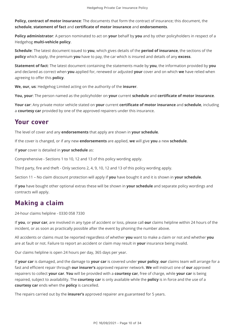**Policy, contract of motor insurance**: The documents that form the contract of insurance; this document, the **schedule**, **statement of fact** and **certificate of motor insurance** and **endorsements**.

**Policy administrator**: A person nominated to act on **your** behalf by **you** and by other policyholders in respect of a Hedgehog **multi-vehicle policy**.

**Schedule**: The latest document issued to **you**, which gives details of the **period of insurance**, the sections of the **policy** which apply, the premium **you** have to pay, the car which is insured and details of any **excess**.

**Statement of fact**: The latest document containing the statements made by **you**, the information provided by **you** and declared as correct when **you** applied for, renewed or adjusted **your** cover and on which **we** have relied when agreeing to offer this **policy**.

**We, our, us**: Hedgehog Limited acting on the authority of the **insurer**.

**You, your**: The person named as the policyholder on **your** current **schedule** and **certificate of motor insurance**.

**Your car**: Any private motor vehicle stated on **your** current **certificate of motor insurance** and **schedule**, including a **courtesy car** provided by one of the approved repairers under this insurance.

### Your cover

The level of cover and any **endorsements** that apply are shown in **your schedule**.

If the cover is changed, or if any new **endorsements** are applied, **we** will give **you** a new **schedule**.

If **your** cover is detailed in **your schedule** as:

Comprehensive - Sections 1 to 10, 12 and 13 of this policy wording apply.

Third party, fire and theft - Only sections 2, 4, 9, 10, 12 and 13 of this policy wording apply.

Section 11 – No claim discount protection will apply if **you** have bought it and it is shown in **your schedule**.

If **you** have bought other optional extras these will be shown in **your schedule** and separate policy wordings and contracts will apply.

# **Making a claim**

24-hour claims helpline - 0330 058 7330

If **you**, or **your car**, are involved in any type of accident or loss, please call **our** claims helpline within 24 hours of the incident, or as soon as practically possible after the event by phoning the number above.

All accidents or claims must be reported regardless of whether **you** want to make a claim or not and whether **you** are at fault or not. Failure to report an accident or claim may result in **your** insurance being invalid.

Our claims helpline is open 24 hours per day, 365 days per year.

If **your car** is damaged, and the damage to **your car** is covered under **your policy**, **our** claims team will arrange for a fast and efficient repair through **our insurer's** approved repairer network. **We** will instruct one of **our** approved repairers to collect **your car**. **You** will be provided with a **courtesy car**, free of charge, while **your car** is being repaired, subject to availability. The **courtesy car** is only available while the **policy** is in force and the use of a **courtesy car** ends when the **policy** is cancelled.

The repairs carried out by the **insurer's** approved repairer are guaranteed for 5 years.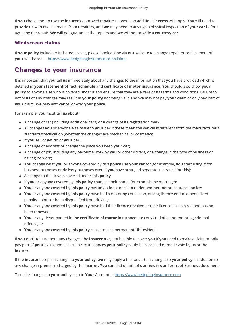If **you** choose not to use the **insurer's** approved repairer network, an additional **excess** will apply. **You** will need to provide **us** with two estimates from repairers, and **we** may need to arrange a physical inspection of **your car** before agreeing the repair. **We** will not guarantee the repairs and **we** will not provide a **courtesy car**.

### Windscreen claims

If **your policy** includes windscreen cover, please book online via **our** website to arrange repair or replacement of **your** windscreen -<https://www.hedgehoginsurance.com/claims>

### Changes to your insurance

It is important that **you** tell **us** immediately about any changes to the information that **you** have provided which is detailed in **your statement of fact**, **schedule** and **certificate of motor insurance**. **You** should also show **your policy** to anyone else who is covered under it and ensure that they are aware of its terms and conditions. Failure to notify **us** of any changes may result in **your policy** not being valid and **we** may not pay **your** claim or only pay part of **your** claim. **We** may also cancel or void **your policy**.

For example, **you** must tell **us** about:

- A change of car (including additional cars) or a change of its registration mark;
- All changes **you** or anyone else make to **your car** if these mean the vehicle is different from the manufacturer's standard specification (whether the changes are mechanical or cosmetic);
- If **you** sell or get rid of **your car**;
- A change of address or change the place **you** keep **your car**;
- A change of job, including any part-time work by **you** or other drivers, or a change in the type of business or having no work;
- **You** change what **you** or anyone covered by this **policy** use **your car** for (for example, **you** start using it for business purposes or delivery purposes even if **you** have arranged separate insurance for this);
- A change to the drivers covered under this **policy**;
- If **you** or anyone covered by this **policy** changes their name (for example, by marriage);
- **You** or anyone covered by this **policy** has an accident or claim under another motor insurance policy;
- **You** or anyone covered by this **policy** have had a motoring conviction, driving licence endorsement, fixed penalty points or been disqualified from driving;
- **You** or anyone covered by this **policy** have had their licence revoked or their licence has expired and has not been renewed;
- **You** or any driver named in the **certificate of motor insurance** are convicted of a non-motoring criminal offence; or
- **You** or anyone covered by this **policy** cease to be a permanent UK resident.

If **you** don't tell **us** about any changes, the **insurer** may not be able to cover **you** if **you** need to make a claim or only pay part of **your** claim, and in certain circumstances **your policy** could be cancelled or made void by **us** or the **insurer**.

If the **insurer** accepts a change to **your policy**, **we** may apply a fee for certain changes to **your policy**, in addition to any change in premium charged by the **insurer**. **You** can find details of **our** fees in **our** Terms of Business document.

To make changes to **your policy** – go to **Your** Account at [https://www.hedgehoginsurance.com](https://www.hedgehoginsurance.com/)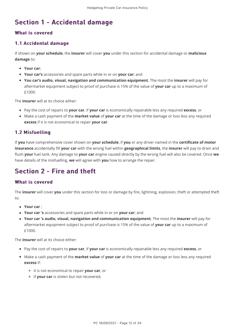# Section 1 - Accidental damage

### What is covered

### 1.1 Accidental damage 1.1 Accidental damage

If shown on **your schedule**, the **insurer** will cover **you** under this section for accidental damage or **malicious damage** to:

- **Your car**;
- **Your car's** accessories and spare parts while in or on **your car**; and
- **You car's audio, visual, navigation and communication equipment**. The most the **insurer** will pay for aftermarket equipment subject to proof of purchase is 15% of the value of **your car** up to a maximum of £1000.

The **insurer** will at its choice either:

- Pay the cost of repairs to **your car**, if **your car** is economically repairable less any required **excess**, or
- Make a cash payment of the **market value** of **your car** at the time of the damage or loss less any required **excess** if it is not economical to repair **your car**.

### 1.2 Misfuelling 1.2 Misfuelling

If **you** have comprehensive cover shown on **your schedule**, if **you** or any driver named in the **certificate of motor insurance** accidentally fill **your car** with the wrong fuel within **geographical limits**, the **insurer** will pay to drain and flush **your** fuel tank. Any damage to **your car** engine caused directly by the wrong fuel will also be covered. Once **we** have details of the misfuelling, **we** will agree with **you** how to arrange the repair.

# Section  $2 -$  Fire and theft

#### What is covered

The **insurer** will cover **you** under this section for loss or damage by fire, lightning, explosion, theft or attempted theft  $t \cap$ 

- **Your car** ;
- **Your car 's** accessories and spare parts while in or on **your car**; and
- **Your car 's audio, visual, navigation and communication equipment**. The most the **insurer** will pay for aftermarket equipment subject to proof of purchase is 15% of the value of **your car** up to a maximum of £1000.

The **insurer** will at its choice either:

- Pay the cost of repairs to **your car**, if **your car** is economically repairable less any required **excess**, or
- Make a cash payment of the **market value** of **your car** at the time of the damage or loss less any required **excess** if:
	- it is not economical to repair **your car**, or
	- if **your car** is stolen but not recovered.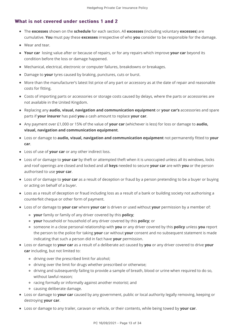#### What is not covered under sections 1 and 2

- The **excesses** shown on the **schedule** for each section. All **excesses** (including voluntary **excesses**) are cumulative. **You** must pay these **excesses** irrespective of who **you** consider to be responsible for the damage.
- Wear and tear.
- **Your car** losing value after or because of repairs, or for any repairs which improve **your car** beyond its condition before the loss or damage happened.
- Mechanical, electrical, electronic or computer failures, breakdowns or breakages.
- Damage to **your** tyres caused by braking, punctures, cuts or burst.
- More than the manufacturer's latest list price of any part or accessory as at the date of repair and reasonable costs for fitting.
- Costs of importing parts or accessories or storage costs caused by delays, where the parts or accessories are not available in the United Kingdom.
- Replacing any **audio, visual, navigation and communication equipment** or **your car's** accessories and spare parts if **your insurer** has paid **you** a cash amount to replace **your car**.
- Any payment over £1,000 or 15% of the value of **your car** (whichever is less) for loss or damage to **audio, visual, navigation and communication equipment**.
- Loss or damage to **audio, visual, navigation and communication equipment** not permanently fitted to **your car**.
- Loss of use of **your car** or any other indirect loss.
- Loss of or damage to **your car** by theft or attempted theft when it is unoccupied unless all its windows, locks and roof openings are closed and locked and all **keys** needed to secure **your car** are with **you** or the person authorised to use **your car**.
- Loss of or damage to **your car** as a result of deception or fraud by a person pretending to be a buyer or buying or acting on behalf of a buyer.
- Loss as a result of deception or fraud including loss as a result of a bank or building society not authorising a counterfeit cheque or other form of payment.
- Loss of or damage to **your car** where **your car** is driven or used without **your** permission by a member of:
	- **your** family or family of any driver covered by this **policy**;
	- **your** household or household of any driver covered by this **policy**; or
	- someone in a close personal relationship with **you** or any driver covered by this **policy** unless **you** report the person to the police for taking **your** car without **your** consent and no subsequent statement is made indicating that such a person did in fact have **your** permission.
- Loss or damage to **your car** as a result of a deliberate act caused by **you** or any driver covered to drive **your car** including, but not limited to:
	- driving over the prescribed limit for alcohol;
	- driving over the limit for drugs whether prescribed or otherwise;
	- driving and subsequently failing to provide a sample of breath, blood or urine when required to do so, without lawful reason;
	- racing formally or informally against another motorist; and
	- causing deliberate damage.
- Loss or damage to **your car** caused by any government, public or local authority legally removing, keeping or destroying **your car**.
- Loss or damage to any trailer, caravan or vehicle, or their contents, while being towed by **your car**.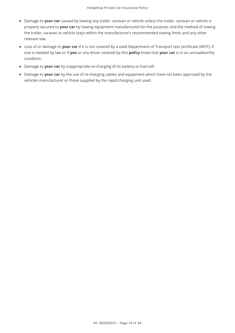- Damage to **your car** caused by towing any trailer, caravan or vehicle unless the trailer, caravan or vehicle is properly secured to **your car** by towing equipment manufactured for the purpose; and the method of towing the trailer, caravan or vehicle stays within the manufacturer's recommended towing limits and any other relevant law.
- Loss of or damage to **your car** if it is not covered by a valid Department of Transport test certificate (MOT), if one is needed by law or if **you** or any driver covered by this **policy** know that **your car** is in an unroadworthy condition.
- Damage to **your car** by inappropriate re-charging of its battery or fuel-cell.
- Damage to **your car** by the use of re-charging cables and equipment which have not been approved by the vehicles manufacturer or those supplied by the rapid charging unit used.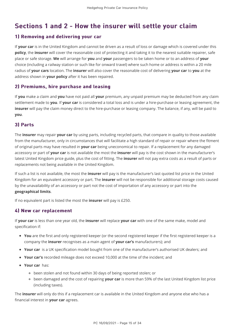# Sections 1 and 2 - How the insurer will settle your claim

#### 1) Removing and delivering your car

If **your car** is in the United Kingdom and cannot be driven as a result of loss or damage which is covered under this **policy**, the **insurer** will cover the reasonable cost of protecting it and taking it to the nearest suitable repairer, safe place or safe storage. **We** will arrange for **you** and **your** passengers to be taken home or to an address of **your** choice (including a railway station or such like for onward travel) where such home or address is within a 20 mile radius of **your cars** location. The **insurer** will also cover the reasonable cost of delivering **your car** to **you** at the address shown in **your policy** after it has been repaired.

### 2) Premiums, hire purchase and leasing 2) Premiums, hire purchase and leasing

If **you** make a claim and **you** have not paid all **your** premium, any unpaid premium may be deducted from any claim settlement made to **you**. If **your car** is considered a total loss and is under a hire-purchase or leasing agreement, the **insurer** will pay the claim money direct to the hire-purchase or leasing company. The balance, if any, will be paid to **you**.

### 3) Parts

The **insurer** may repair **your car** by using parts, including recycled parts, that compare in quality to those available from the manufacturer, only in circumstances that will facilitate a high standard of repair or repair where the fitment of original parts may have resulted in **your car** being uneconomical to repair. If a replacement for any damaged accessory or part of **your car** is not available the most the **insurer** will pay is the cost shown in the manufacturer's latest United Kingdom price guide, plus the cost of fitting. The **insurer** will not pay extra costs as a result of parts or replacements not being available in the United Kingdom.

If such a list is not available, the most the **insurer** will pay is the manufacturer's last quoted list price in the United Kingdom for an equivalent accessory or part. The **insurer** will not be responsible for additional storage costs caused by the unavailability of an accessory or part not the cost of importation of any accessory or part into the **geographical limits**.

If no equivalent part is listed the most the **insurer** will pay is £250.

#### 4) New car replacement 4) New car replacement

If **your car** is less than one year old, the **insurer** will replace **your car** with one of the same make, model and specification if:

- **You** are the first and only registered keeper (or the second registered keeper if the first registered keeper is a company the **insurer** recognises as a main agent of **your car's** manufacturers); and
- **Your car** is a UK specification model bought from one of the manufacturer's authorised UK dealers; and
- **Your car's** recorded mileage does not exceed 10,000 at the time of the incident; and
- **Your car** has:
	- been stolen and not found within 30 days of being reported stolen; or
	- been damaged and the cost of repairing **your car** is more than 59% of the last United Kingdom list price (including taxes).

The **insurer** will only do this if a replacement car is available in the United Kingdom and anyone else who has a financial interest in **your car** agrees.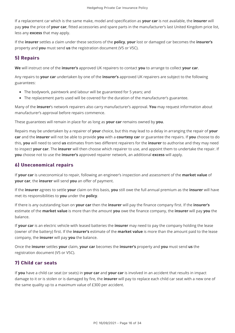If a replacement car which is the same make, model and specification as **your car** is not available, the **insurer** will pay **you** the price of **your car**, fitted accessories and spare parts in the manufacturer's last United Kingdom price list, less any **excess** that may apply.

If the **insurer** settles a claim under these sections of the **policy**, **your** lost or damaged car becomes the **insurer's** property and **you** must send **us** the registration document (V5 or V5C).

### 5) Repairs

**We** will instruct one of the **insurer's** approved UK repairers to contact **you** to arrange to collect **your car**.

Any repairs to **your car** undertaken by one of the **insurer's** approved UK repairers are subject to the following guarantees:

- The bodywork, paintwork and labour will be guaranteed for 5 years; and
- The replacement parts used will be covered for the duration of the manufacturer's guarantee.

Many of the **insurer**'s network repairers also carry manufacturer's approval. **You** may request information about manufacturer's approval before repairs commence.

These guarantees will remain in place for as long as **your car** remains owned by **you**.

Repairs may be undertaken by a repairer of **your** choice, but this may lead to a delay in arranging the repair of **your car** and the **insurer** will not be able to provide **you** with a **courtesy car** or guarantee the repairs. If **you** choose to do this, **you** will need to send **us** estimates from two different repairers for the **insurer** to authorise and they may need to inspect **your car**. The **insurer** will then choose which repairer to use, and appoint them to undertake the repair. If **you** choose not to use the **insurer's** approved repairer network, an additional **excess** will apply.

### 6) Uneconomical repairs 6) Uneconomical repairs

If **your car** is uneconomical to repair, following an engineer's inspection and assessment of the **market value** of **your car**, the **insurer** will send **you** an offer of payment.

If the **insurer** agrees to settle **your** claim on this basis, **you** still owe the full annual premium as the **insurer** will have met its responsibilities to **you** under the **policy**.

If there is any outstanding loan on **your car** then the **insurer** will pay the finance company first. If the **insurer's** estimate of the **market value** is more than the amount **you** owe the finance company, the **insurer** will pay **you** the balance.

If **your car** is an electric vehicle with leased batteries the **insurer** may need to pay the company holding the lease (owner of the battery) first. If the **insurer's** estimate of the **market value** is more than the amount paid to the lease company, the **insurer** will pay **you** the balance.

Once the **insurer** settles **your** claim, **your car** becomes the **insurer's** property and **you** must send **us** the registration document (V5 or V5C).

### 7) Child car seats 7) Child car

If **you** have a child car seat (or seats) in **your car** and **your car** is involved in an accident that results in impact damage to it or is stolen or is damaged by fire, the **insurer** will pay to replace each child car seat with a new one of the same quality up to a maximum value of £300 per accident.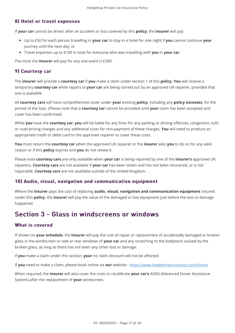### 8) Hotel or travel expenses

If **your car** cannot be driven after an accident or loss covered by this **policy**, the **insurer** will pay:

- Up to £50 for each person travelling in **your car** to stay in a hotel for one night if **you** cannot continue **your** journey until the next day; or
- Travel expenses up to £100 in total for everyone who was travelling with **you** in **your car**.

The most the **insurer** will pay for any one event is £300.

#### 9) Courtesy car

The **insurer** will provide a **courtesy car** if **you** make a claim under section 1 of this **policy**. **You** will receive a temporary **courtesy car** while repairs to **your car** are being carried out by an approved UK repairer, provided that one is available.

All **courtesy cars** will have comprehensive cover under **your** existing **policy**, including any **policy excesses**, for the period of the loan. (Please note that a **courtesy car** cannot be provided until **your** claim has been accepted and cover has been confirmed).

While **you** have the **courtesy car**, **you** will be liable for any fines for any parking or driving offences, congestion, tolls or road pricing charges and any additional costs for non-payment of these charges. **You** will need to produce an appropriate credit or debit card to the approved repairer to cover these costs.

**You** must return the **courtesy car** when the approved UK repairer or the **insurer** asks **you** to do so for any valid reason or if this **policy** expires and **you** do not renew it.

Please note **courtesy cars** are only available when **your car** is being repaired by one of the **insurer's** approved UK repairers. **Courtesy cars** are not available if **your car** has been stolen and has not been recovered, or is not repairable. **Courtesy cars** are not available outside of the United Kingdom.

#### 10) Audio, visual, navigation and communication equipment

Where the **insurer** pays the cost of replacing **audio, visual, navigation and communication equipment** insured under this **policy**, the **insurer** will pay the value of the damaged or lost equipment just before the loss or damage happened.

### Section 3 - Glass in windscreens or windows

#### What is covered

If shown on **your schedule**, the **insurer** will pay the cost of repair or replacement of accidentally damaged or broken glass in the windscreen or side or rear windows of **your car** and any scratching to the bodywork caused by the broken glass, as long as there has not been any other loss or damage.

If **you** make a claim under this section, **your** no claim discount will not be affected.

If **you** need to make a claim, please book online via **our** website -<https://www.hedgehoginsurance.com/claims>

When required, the **insurer** will also cover the costs to recalibrate **your car's** ADAS (Advanced Driver Assistance System) after the replacement of **your** windscreen.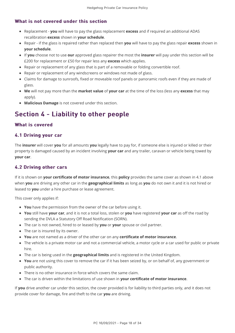#### What is not covered under this section

- Replacement **you** will have to pay the glass replacement **excess** and if required an additional ADAS recalibration **excess** shown in **your schedule**.
- Repair if the glass is repaired rather than replaced then **you** will have to pay the glass repair **excess** shown in **your schedule**.
- If **you** choose not to use **our** approved glass repairer the most the **insurer** will pay under this section will be £200 for replacement or £50 for repair less any **excess** which applies.
- Repair or replacement of any glass that is part of a removable or folding convertible roof.
- Repair or replacement of any windscreens or windows not made of glass.
- Claims for damage to sunroofs, fixed or moveable roof panels or panoramic roofs even if they are made of glass.
- **We** will not pay more than the **market value** of **your car** at the time of the loss (less any **excess** that may apply).
- **Malicious Damage** is not covered under this section.

# Section 4 - Liability to other people

#### What is covered

#### 4.1 Driving your car

The **insurer** will cover **you** for all amounts **you** legally have to pay for, if someone else is injured or killed or their property is damaged caused by an incident involving **your car** and any trailer, caravan or vehicle being towed by **your car**.

### 4.2 Driving other cars

If it is shown on **your certificate of motor insurance**, this **policy** provides the same cover as shown in 4.1 above when **you** are driving any other car in the **geographical limits** as long as **you** do not own it and it is not hired or leased to **you** under a hire purchase or lease agreement.

This cover only applies if:

- **You** have the permission from the owner of the car before using it.
- **You** still have **your car**, and it is not a total loss, stolen or **you** have registered **your car** as off the road by sending the DVLA a Statutory Off Road Notification (SORN).
- The car is not owned, hired to or leased by **you** or **your** spouse or civil partner.
- The car is insured by its owner.
- **You** are not named as a driver of the other car on any **certificate of motor insurance**.
- The vehicle is a private motor car and not a commercial vehicle, a motor cycle or a car used for public or private hire.
- The car is being used in the **geographical limits** and is registered in the United Kingdom.
- **You** are not using this cover to remove the car if it has been seized by, or on behalf of, any government or public authority.
- There is no other insurance in force which covers the same claim.
- The car is driven within the limitations of use shown in **your certificate of motor insurance**.

If **you** drive another car under this section, the cover provided is for liability to third parties only, and it does not provide cover for damage, fire and theft to the car **you** are driving.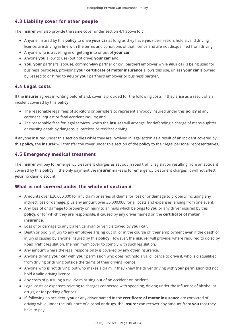### 4.3 Liability cover for other people 4.3 Liability cover for other

The **insurer** will also provide the same cover under section 4.1 above for:

- Anyone insured by this **policy** to drive **your car** as long as they have **your** permission, hold a valid driving licence, are driving in line with the terms and conditions of that licence and are not disqualified from driving;
- Anyone who is travelling in or getting into or out of **your car**;
- Anyone **you** allow to use (but not drive) **your car**; and
- **You**, **your** partner's (spouse, common-law partner or civil partner) employer while **your car** is being used for business purposes, providing **your certificate of motor insurance** allows this use, unless **your car** is owned by, leased to or hired to **you** or **your** partner's employer or business partner.

### 4.4 Legal costs 4.4 Legal costs

If the **insurer** agrees in writing beforehand, cover is provided for the following costs, if they arise as a result of an incident covered by this **policy**:

- The reasonable legal fees of solicitors or barristers to represent anybody insured under this **policy** at any coroner's inquest or fatal accident inquiry; and
- The reasonable fees for legal services, which the **insurer** will arrange, for defending a charge of manslaughter or causing death by dangerous, careless or reckless driving.

If anyone insured under this section dies while they are involved in legal action as a result of an incident covered by this **policy**, the **insurer** will transfer the cover under this section of the **policy** to their legal personal representatives.

### 4.5 Emergency medical treatment 4.5 Emergency medical treatment

The **insurer** will pay for emergency treatment charges as set out in road traffic legislation resulting from an accident covered by this **policy**. If the only payment the **insurer** makes is for emergency treatment charges, it will not affect **your** no claim discount.

#### What is not covered under the whole of section 4

- Amounts over £20,000,000 for any claim or series of claims for loss of or damage to property including any indirect loss or damage, plus any amount over £5,000,000 for all costs and expenses, arising from one event.
- Any loss of or damage to property or injury to animals which belongs to **you** or any driver insured by this **policy**, or for which they are responsible, if caused by any driver named on the **certificate of motor insurance**.
- Loss of or damage to any trailer, caravan or vehicle towed by **your car**.
- Death or bodily injury to any employee arising out of, or in the course of, their employment even if the death or injury is caused by anyone insured by this **policy**. However, the **insurer** will provide, where required to do so by Road Traffic legislation, the minimum cover to comply with such legislation.
- Any amount where the legal responsibility is covered by any other insurance.
- Anyone driving **your car** with **your** permission who does not hold a valid licence to drive it, who is disqualified from driving or driving outside the terms of their driving licence.
- Anyone who is not driving, but who makes a claim, if they knew the driver driving with **your** permission did not hold a valid driving licence.
- Any costs of pursuing a civil claim arising out of an accident or incident.
- Legal costs or expenses relating to charges connected with speeding, driving under the influence of alcohol or drugs, or for parking offences.
- If, following an accident, **you** or any driver named in the **certificate of motor insurance** are convicted of driving while under the influence of alcohol or drugs, the **insurer** can recover any amount from **you** that they have to pay.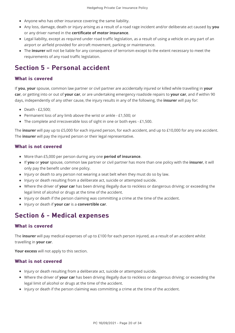- Anyone who has other insurance covering the same liability.
- Any loss, damage, death or injury arising as a result of a road rage incident and/or deliberate act caused by **you** or any driver named in the **certificate of motor insurance**.
- Legal liability, except as required under road traffic legislation, as a result of using a vehicle on any part of an airport or airfield provided for aircraft movement, parking or maintenance.
- The **insurer** will not be liable for any consequence of terrorism except to the extent necessary to meet the requirements of any road traffic legislation.

# Section 5 - Personal accident

#### What is covered

If **you**, **your** spouse, common law partner or civil partner are accidentally injured or killed while travelling in **your car**, or getting into or out of **your car**, or are undertaking emergency roadside repairs to **your car**, and if within 90 days, independently of any other cause, the injury results in any of the following, the **insurer** will pay for:

- Death £2,500:
- Permanent loss of any limb above the wrist or ankle £1,500; or
- The complete and irrecoverable loss of sight in one or both eyes £1,500.

The **insurer** will pay up to £5,000 for each injured person, for each accident, and up to £10,000 for any one accident. The **insurer** will pay the injured person or their legal representative.

#### What is not covered

- More than £5,000 per person during any one **period of insurance**.
- If **you** or **your** spouse, common law partner or civil partner has more than one policy with the **insurer**, it will only pay the benefit under one policy.
- Injury or death to any person not wearing a seat belt when they must do so by law.
- Injury or death resulting from a deliberate act, suicide or attempted suicide.
- Where the driver of **your car** has been driving illegally due to reckless or dangerous driving; or exceeding the legal limit of alcohol or drugs at the time of the accident.
- Injury or death if the person claiming was committing a crime at the time of the accident.
- Injury or death if **your car** is a **convertible car**.

### Section 6 - Medical expenses

#### What is covered

The **insurer** will pay medical expenses of up to £100 for each person injured, as a result of an accident whilst travelling in **your car**.

**Your excess** will not apply to this section.

#### What is not covered

- Injury or death resulting from a deliberate act, suicide or attempted suicide.
- Where the driver of **your car** has been driving illegally due to reckless or dangerous driving; or exceeding the legal limit of alcohol or drugs at the time of the accident.
- Injury or death if the person claiming was committing a crime at the time of the accident.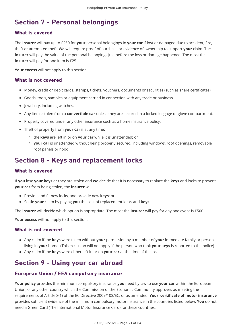# Section 7 - Personal belongings

#### What is covered

The **insurer** will pay up to £250 for **your** personal belongings in **your car** if lost or damaged due to accident, fire, theft or attempted theft. **We** will require proof of purchase or evidence of ownership to support **your** claim. The **insurer** will pay the value of the personal belongings just before the loss or damage happened. The most the **insurer** will pay for one item is £25.

**Your excess** will not apply to this section.

#### What is not covered

- Money, credit or debit cards, stamps, tickets, vouchers, documents or securities (such as share certificates).
- Goods, tools, samples or equipment carried in connection with any trade or business.
- Jewellery, including watches.
- Any items stolen from a **convertible car** unless they are secured in a locked luggage or glove compartment.
- Property covered under any other insurance such as a home insurance policy.
- Theft of property from **your car** if at any time:
	- the **keys** are left in or on **your car** while it is unattended; or
	- **your car** is unattended without being properly secured, including windows, roof openings, removable roof panels or hood.

### Section 8 - Keys and replacement locks

#### What is covered

If **you** lose **your keys** or they are stolen and **we** decide that it is necessary to replace the **keys** and locks to prevent **your car** from being stolen, the **insurer** will:

- Provide and fit new locks, and provide new **keys**; or
- Settle **your** claim by paying **you** the cost of replacement locks and **keys**.

The **insurer** will decide which option is appropriate. The most the **insurer** will pay for any one event is £500.

**Your excess** will not apply to this section.

#### What is not covered

- Any claim if the **keys** were taken without **your** permission by a member of **your** immediate family or person living in **your** home. (This exclusion will not apply if the person who took **your keys** is reported to the police).
- Any claim if the **keys** were either left in or on **your car** at the time of the loss.

# Section 9 - Using your car abroad

### European Union / EEA compulsory insurance

**Your policy** provides the minimum compulsory insurance **you** need by law to use **your car** within the European Union, or any other country which the Commission of the Economic Community approves as meeting the requirements of Article 8(1) of the EC Directive 2009/103/EC, or as amended. **Your certificate of motor insurance** provides sufficient evidence of the minimum compulsory motor insurance in the countries listed below. **You** do not need a Green Card (The International Motor Insurance Card) for these countries.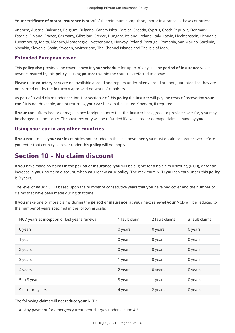**Your certificate of motor insurance** is proof of the minimum compulsory motor insurance in these countries:

Andorra, Austria, Balearics, Belgium, Bulgaria, Canary Isles, Corsica, Croatia, Cyprus, Czech Republic, Denmark, Estonia, Finland, France, Germany, Gibraltar, Greece, Hungary, Iceland, Ireland, Italy, Latvia, Liechtenstein, Lithuania, Luxembourg, Malta, Monaco,Montenegro, Netherlands, Norway, Poland, Portugal, Romania, San Marino, Sardinia, Slovakia, Slovenia, Spain, Sweden, Switzerland, The Channel Islands and The Isle of Man.

#### **Extended European cover**

This **policy** also provides the cover shown in **your schedule** for up to 30 days in any **period of insurance** while anyone insured by this **policy** is using **your car** within the countries referred to above.

Please note **courtesy cars** are not available abroad and repairs undertaken abroad are not guaranteed as they are not carried out by the **insurer's** approved network of repairers.

As part of a valid claim under section 1 or section 2 of this **policy** the **insurer** will pay the costs of recovering **your car** if it is not driveable, and of returning **your car** back to the United Kingdom, if required.

If **your car** suffers loss or damage in any foreign country that the **insurer** has agreed to provide cover for, **you** may be charged customs duty. This customs duty will be refunded if a valid loss or damage claim is made by **you**.

### Using your car in any other countries

If **you** want to use **your car** in countries not included in the list above then **you** must obtain separate cover before **you** enter that country as cover under this **policy** will not apply.

# Section 10 - No claim discount

If **you** have made no claims in the **period of insurance**, **you** will be eligible for a no claim discount, (NCD), or for an increase in **your** no claim discount, when **you** renew **your policy**. The maximum NCD **you** can earn under this **policy** is 9 years.

The level of **your** NCD is based upon the number of consecutive years that **you** have had cover and the number of claims that have been made during that time.

If **you** make one or more claims during the **period of insurance**, at **your** next renewal **your** NCD will be reduced to the number of years specified in the following scale:

| NCD years at inception or last year's renewal | 1 fault claim | 2 fault claims | 3 fault claims |
|-----------------------------------------------|---------------|----------------|----------------|
| 0 years                                       | 0 years       | 0 years        | 0 years        |
| 1 year                                        | 0 years       | 0 years        | 0 years        |
| 2 years                                       | 0 years       | 0 years        | 0 years        |
| 3 years                                       | 1 year        | 0 years        | 0 years        |
| 4 years                                       | 2 years       | 0 years        | 0 years        |
| 5 to 8 years                                  | 3 years       | 1 year         | 0 years        |
| 9 or more years                               | 4 years       | 2 years        | 0 years        |

The following claims will not reduce **your** NCD:

Any payment for emergency treatment charges under section 4.5;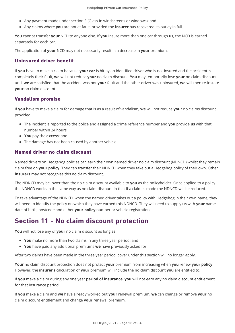- Any payment made under section 3 (Glass in windscreens or windows); and
- Any claims where **you** are not at fault, provided the **insurer** has recovered its outlay in full.

**You** cannot transfer **your** NCD to anyone else. If **you** insure more than one car through **us**, the NCD is earned separately for each car.

The application of **your** NCD may not necessarily result in a decrease in **your** premium.

#### Uninsured driver benefit

If **you** have to make a claim because **your car** is hit by an identified driver who is not insured and the accident is completely their fault, **we** will not reduce **your** no claim discount. **You** may temporarily lose **your** no claim discount until **we** are satisfied that the accident was not **your** fault and the other driver was uninsured, **we** will then re-instate **your** no claim discount.

#### Vandalism promise

If **you** have to make a claim for damage that is as a result of vandalism, **we** will not reduce **your** no claims discount provided:

- The incident is reported to the police and assigned a crime reference number and **you** provide **us** with that number within 24 hours;
- **You** pay the **excess**; and
- The damage has not been caused by another vehicle.

### Named driver no claim discount

Named drivers on Hedgehog policies can earn their own named driver no claim discount (NDNCD) whilst they remain claim free on **your policy**. They can transfer their NDNCD when they take out a Hedgehog policy of their own. Other **insurers** may not recognise this no claim discount.

The NDNCD may be lower than the no claim discount available to **you** as the policyholder. Once applied to a policy the NDNCD works in the same way as no claim discount in that if a claim is made the NDNCD will be reduced.

To take advantage of the NDNCD, when the named driver takes out a policy with Hedgehog in their own name, they will need to identify the policy on which they have earned this NDNCD. They will need to supply **us** with **your** name, date of birth, postcode and either **your policy** number or vehicle registration.

# Section 11 - No claim discount protection

**You** will not lose any of **your** no claim discount as long as:

- **You** make no more than two claims in any three year period; and
- **You** have paid any additional premiums **we** have previously asked for.

After two claims have been made in the three year period, cover under this section will no longer apply.

**Your** no claim discount protection does not protect **your** premium from increasing when **you** renew **your policy**. However, the **insurer's** calculation of **your** premium will include the no claim discount **you** are entitled to.

If **you** make a claim during any one year **period of insurance**, **you** will not earn any no claim discount entitlement for that insurance period.

If **you** make a claim and **we** have already worked out **your** renewal premium, **we** can change or remove **your** no claim discount entitlement and change **your** renewal premium.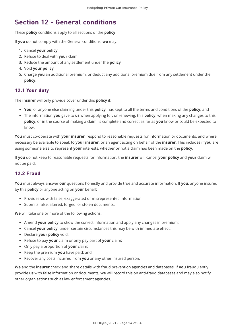# **Section 12 - General conditions**

These **policy** conditions apply to all sections of the **policy**.

If **you** do not comply with the General conditions, **we** may:

- 1. Cancel **your policy**
- 2. Refuse to deal with **your** claim
- 3. Reduce the amount of any settlement under the **policy**
- 4. Void **your policy**
- 5. Charge **you** an additional premium, or deduct any additional premium due from any settlement under the **policy**.

### 12.1 Your duty

The **insurer** will only provide cover under this **policy** if:

- **You**, or anyone else claiming under this **policy**, has kept to all the terms and conditions of the **policy**; and
- The information **you** gave to **us** when applying for, or renewing, this **policy**, when making any changes to this **policy**, or in the course of making a claim, is complete and correct as far as **you** know or could be expected to know.

**You** must co-operate with **your insurer**, respond to reasonable requests for information or documents, and where necessary be available to speak to **your insurer**, or an agent acting on behalf of the **insurer**. This includes if **you** are using someone else to represent **your** interests, whether or not a claim has been made on the **policy**.

If **you** do not keep to reasonable requests for information, the **insurer** will cancel **your policy** and **your** claim will not be paid.

#### **12.2 Fraud**

**You** must always answer **our** questions honestly and provide true and accurate information. If **you**, anyone insured by this **policy** or anyone acting on **your** behalf:

- Provides **us** with false, exaggerated or misrepresented information.
- Submits false, altered, forged, or stolen documents.

**We** will take one or more of the following actions:

- Amend **your policy** to show the correct information and apply any changes in premium;
- Cancel **your policy**, under certain circumstances this may be with immediate effect;
- Declare **your policy** void;
- Refuse to pay **your** claim or only pay part of **your** claim;
- Only pay a proportion of **your** claim;
- Keep the premium **you** have paid; and
- Recover any costs incurred from **you** or any other insured person.

**We** and the **insurer** check and share details with fraud prevention agencies and databases. If **you** fraudulently provide **us** with false information or documents, **we** will record this on anti-fraud databases and may also notify other organisations such as law enforcement agencies.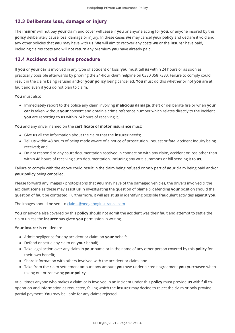### 12.3 Deliberate loss, damage or injury

The **insurer** will not pay **your** claim and cover will cease if **you** or anyone acting for **you**, or anyone insured by this **policy** deliberately cause loss, damage or injury. In these cases **we** may cancel **your policy** and declare it void and any other policies that **you** may have with **us**. **We** will aim to recover any costs **we** or the **insurer** have paid, including claims costs and will not return any premium **you** have already paid.

#### 12.4 Accident and claims procedure

If **you** or **your car** is involved in any type of accident or loss, **you** must tell **us** within 24 hours or as soon as practically possible afterwards by phoning the 24-hour claim helpline on 0330 058 7330. Failure to comply could result in the claim being refused and/or **your policy** being cancelled. **You** must do this whether or not **you** are at fault and even if **you** do not plan to claim.

**You** must also:

Immediately report to the police any claim involving **malicious damage**, theft or deliberate fire or when **your car** is taken without **your** consent and obtain a crime reference number which relates directly to the incident **you** are reporting to **us** within 24 hours of receiving it.

**You** and any driver named on the **certificate of motor insurance** must:

- Give **us** all the information about the claim that the **insurer** needs;
- Tell **us** within 48 hours of being made aware of a notice of prosecution, inquest or fatal accident inquiry being received; and
- Do not respond to any court documentation received in connection with any claim, accident or loss other than within 48 hours of receiving such documentation, including any writ, summons or bill sending it to **us**.

Failure to comply with the above could result in the claim being refused or only part of **your** claim being paid and/or **your policy** being cancelled.

Please forward any images / photographs that **you** may have of the damaged vehicles, the drivers involved & the accident scene as these may assist **us** in investigating the question of blame & defending **your** position should the question of fault be contested. Furthermore, it will assist **us** in identifying possible fraudulent activities against **you**.

The images should be sent to [claims@hedgehoginsurance.com](mailto:claims@hedgehoginsurance.com)

**You** or anyone else covered by this **policy** should not admit the accident was their fault and attempt to settle the claim unless the **insurer** has given **you** permission in writing.

**Your insurer** is entitled to:

- Admit negligence for any accident or claim on **your** behalf;
- Defend or settle any claim on **your** behalf;
- Take legal action over any claim in **your** name or in the name of any other person covered by this **policy** for their own benefit;
- Share information with others involved with the accident or claim; and
- Take from the claim settlement amount any amount **you** owe under a credit agreement **you** purchased when taking out or renewing **your policy**.

At all times anyone who makes a claim or is involved in an incident under this **policy** must provide **us** with full cooperation and information as requested, failing which the **insurer** may decide to reject the claim or only provide partial payment. **You** may be liable for any claims rejected.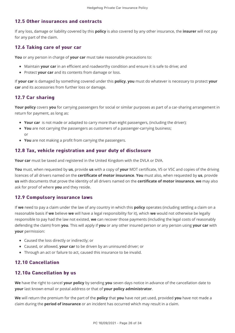#### 12.5 Other insurances and contracts 12.5 Other insurances and contracts

If any loss, damage or liability covered by this **policy** is also covered by any other insurance, the **insurer** will not pay for any part of the claim.

#### 12.6 Taking care of your car

**You** or any person in charge of **your car** must take reasonable precautions to:

- Maintain **your car** in an efficient and roadworthy condition and ensure it is safe to drive; and
- Protect **your car** and its contents from damage or loss.

If **your car** is damaged by something covered under this **policy**, **you** must do whatever is necessary to protect **your car** and its accessories from further loss or damage.

#### 12.7 Car sharing

**Your policy** covers **you** for carrying passengers for social or similar purposes as part of a car-sharing arrangement in return for payment, as long as:

- **Your car** is not made or adapted to carry more than eight passengers, (including the driver);
- **You** are not carrying the passengers as customers of a passenger-carrying business; or
- **You** are not making a profit from carrying the passengers.

#### 12.8 Tax, vehicle registration and your duty of disclosure

**Your car** must be taxed and registered in the United Kingdom with the DVLA or DVA.

**You** must, when requested by **us**, provide **us** with a copy of **your** MOT certificate, V5 or V5C and copies of the driving licences of all drivers named on the **certificate of motor insurance**. **You** must also, when requested by **us**, provide **us** with documents that prove the identity of all drivers named on the **certificate of motor insurance**, **we** may also ask for proof of where **you** and they reside.

#### 12.9 Compulsory insurance laws

If **we** need to pay a claim under the law of any country in which this **policy** operates (including settling a claim on a reasonable basis if **we** believe **we** will have a legal responsibility for it), which **we** would not otherwise be legally responsible to pay had the law not existed, **we** can recover those payments (including the legal costs of reasonably defending the claim) from **you**. This will apply if **you** or any other insured person or any person using **your car** with **your** permission:

- Caused the loss directly or indirectly; or
- Caused, or allowed, **your car** to be driven by an uninsured driver; or
- Through an act or failure to act, caused this insurance to be invalid.

#### 12.10 Cancellation

#### 12.10a Cancellation by us

**We** have the right to cancel **your policy** by sending **you** seven days notice in advance of the cancellation date to **your** last known email or postal address or that of **your policy administrator**.

**We** will return the premium for the part of the **policy** that **you** have not yet used, provided **you** have not made a claim during the **period of insurance** or an incident has occurred which may result in a claim.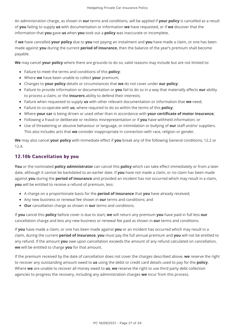An administration charge, as shown in **our** terms and conditions, will be applied if **your policy** is cancelled as a result of **you** failing to supply **us** with documentation or information **we** have requested, or if **we** discover that the information that **you** gave **us** when **you** took out a **policy** was inaccurate or incomplete.

If **we** have cancelled **your policy** due to **you** not paying an instalment and **you** have made a claim, or one has been made against **you** during the current **period of insurance**, then the balance of the year's premium shall become payable.

**We** may cancel **your policy** where there are grounds to do so, valid reasons may include but are not limited to:

- Failure to meet the terms and conditions of this **policy**;
- Where **we** have been unable to collect **your** premium;
- Changes to **your policy** details or circumstances that **we** do not cover under **our policy**;
- Failure to provide information or documentation or **you** fail to do so in a way that materially affects **our** ability to process a claim, or the **insurers** ability to defend their interests;
- Failure when requested to supply **us** with other relevant documentation or information that **we** need;
- Failure to co-operate with **us**, where required to do so within the terms of this **policy**;
- Where **your car** is being driven or used other than in accordance with **your certificate of motor insurance**;
- Following a fraud or deliberate or reckless misrepresentation or if **you** have withheld information; or
- Use of threatening or abusive behaviour or language, or intimidation or bullying of **our** staff and/or suppliers. This also includes acts that **we** consider inappropriate in connection with race, religion or gender.

**We** may also cancel **your policy** with immediate effect if **you** break any of the following General conditions; 12.2 or 12.4.

### 12.10b Cancellation by you

**You** or the nominated **policy administrator** can cancel this **policy** which can take effect immediately or from a later date, although it cannot be backdated to an earlier date. If **you** have not made a claim, or no claim has been made against **you** during the **period of insurance** and provided an incident has not occurred which may result in a claim, **you** will be entitled to receive a refund of premium, less:

- A charge on a proportionate basis for the **period of insurance** that **you** have already received;
- Any new business or renewal fee shown in **our** terms and conditions; and
- **Our** cancellation charge as shown in **our** terms and conditions.

If **you** cancel this **policy** before cover is due to start, **we** will return any premium **you** have paid in full less **our** cancellation charge and less any new business or renewal fee paid as shown in **our** terms and conditions.

If **you** have made a claim, or one has been made against **you** or an incident has occurred which may result in a claim, during the current **period of insurance**, **you** must pay the full annual premium and **you** will not be entitled to any refund. If the amount **you** owe upon cancellation exceeds the amount of any refund calculated on cancellation, **we** will be entitled to charge **you** for that amount.

If the premium received by the date of cancellation does not cover the charges described above, **we** reserve the right to recover any outstanding amount owed to **us** using the debit or credit card details used to pay for the **policy**. Where **we** are unable to recover all money owed to **us**, **we** reserve the right to use third party debt collection agencies to progress the recovery, including any administration charges **we** incur from this process.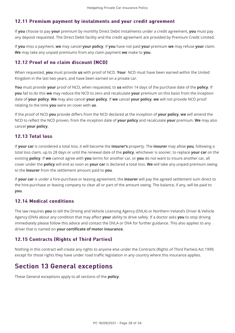### 12.11 Premium payment by instalments and your credit agreement

If **you** choose to pay **your** premium by monthly Direct Debit instalments under a credit agreement, **you** must pay any deposit requested. The Direct Debit facility and the credit agreement are provided by Premium Credit Limited.

If **you** miss a payment, **we** may cancel **your policy**. If **you** have not paid **your** premium **we** may refuse **your** claim. **We** may take any unpaid premiums from any claim payment **we** make to **you**.

### 12.12 Proof of no claim discount (NCD) 12.12 Proof of no claim discount (NCD)

When requested, **you** must provide **us** with proof of NCD. **Your** NCD must have been earned within the United Kingdom in the last two years, and have been earned on a private car.

**You** must provide **your** proof of NCD, when requested, to **us** within 14 days of the purchase date of the **policy**. If **you** fail to do this **we** may reduce the NCD to zero and recalculate **your** premium on this basis from the inception date of **your policy**. **We** may also cancel **your policy**. If **we** cancel **your policy**, **we** will not provide NCD proof relating to the time **you** were on cover with **us**.

If the proof of NCD **you** provide differs from the NCD declared at the inception of **your policy**, **we** will amend the NCD to reflect the NCD proven, from the inception date of **your policy** and recalculate **your** premium. **We** may also cancel **your policy**.

### 12.13 Total loss 12.13 Total loss

If **your car** is considered a total loss, it will become the **insurer's** property. The **insurer** may allow **you**, following a total loss claim, up to 28 days or until the renewal date of the **policy**, whichever is sooner, to replace **your car** on the existing **policy**. If **we** cannot agree with **you** terms for another car, or **you** do not want to insure another car, all cover under the **policy** will end as soon as **your car** is declared a total loss. **We** will take any unpaid premium owing to the **insurer** from the settlement amount paid to **you**.

If **your car** is under a hire-purchase or leasing agreement, the **insurer** will pay the agreed settlement sum direct to the hire-purchase or leasing company to clear all or part of the amount owing. The balance, if any, will be paid to **you**.

### 12.14 Medical conditions 12.14 Medical conditions

The law requires **you** to tell the Driving and Vehicle Licensing Agency (DVLA) or Northern Ireland's Driver & Vehicle Agency (DVA) about any condition that may affect **your** ability to drive safely. If a doctor asks **you** to stop driving immediately please follow this advice and contact the DVLA or DVA for further guidance. This also applies to any driver that is named on **your certificate of motor insurance**.

#### 12.15 Contracts (Rights of Third Parties)

Nothing in this contract will create any rights to anyone else under the Contracts (Rights of Third Parties) Act 1999, except for those rights they have under road traffic legislation in any country where this insurance applies.

### **Section 13 General exceptions**

These General exceptions apply to all sections of the **policy**.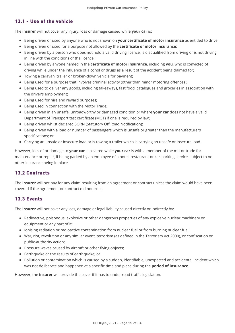### 13.1 - Use of the vehicle 13.1 - Use of the vehicle

The **insurer** will not cover any injury, loss or damage caused while **your car** is:

- Being driven or used by anyone who is not shown on **your certificate of motor insurance** as entitled to drive;
- **Being driven or used for a purpose not allowed by the <b>certificate of motor insurance**;
- Being driven by a person who does not hold a valid driving licence, is disqualified from driving or is not driving in line with the conditions of the licence;
- Being driven by anyone named in the **certificate of motor insurance**, including **you**, who is convicted of driving while under the influence of alcohol or drugs as a result of the accident being claimed for;
- Towing a caravan, trailer or broken-down vehicle for payment;
- Being used for a purpose that involves criminal activity (other than minor motoring offences);
- Being used to deliver any goods, including takeaways, fast food, catalogues and groceries in association with the driver's employment;
- Being used for hire and reward purposes;
- Being used in connection with the Motor Trade;
- Being driven in an unsafe, unroadworthy or damaged condition or where **your car** does not have a valid Department of Transport test certificate (MOT) if one is required by law';
- Being driven whilst declared SORN (Statutory Off Road Notification);
- Being driven with a load or number of passengers which is unsafe or greater than the manufacturers specifications; or
- Carrying an unsafe or insecure load or is towing a trailer which is carrying an unsafe or insecure load.

However, loss of or damage to **your car** is covered while **your car** is with a member of the motor trade for maintenance or repair, if being parked by an employee of a hotel, restaurant or car-parking service, subject to no other insurance being in place.

#### 13.2 Contracts 13.2 Contracts

The **insurer** will not pay for any claim resulting from an agreement or contract unless the claim would have been covered if the agreement or contract did not exist.

#### 13.3 Events

The **insurer** will not cover any loss, damage or legal liability caused directly or indirectly by:

- Radioactive, poisonous, explosive or other dangerous properties of any explosive nuclear machinery or equipment or any part of it;
- Ionising radiation or radioactive contamination from nuclear fuel or from burning nuclear fuel;
- War, riot, revolution or any similar event, terrorism (as defined in the Terrorism Act 2000), or confiscation or public-authority action;
- Pressure waves caused by aircraft or other flying objects;
- Earthquake or the results of earthquake; or
- Pollution or contamination which is caused by a sudden, identifiable, unexpected and accidental incident which was not deliberate and happened at a specific time and place during the **period of insurance**.

However, the **insurer** will provide the cover if it has to under road traffic legislation.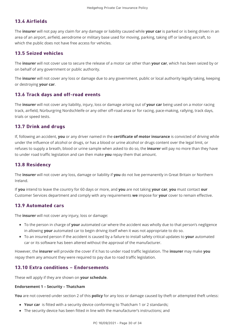### 13.4 Airfields 13.4 Airfields

The **insurer** will not pay any claim for any damage or liability caused while **your car** is parked or is being driven in an area of an airport, airfield, aerodrome or military base used for moving, parking, taking off or landing aircraft, to which the public does not have free access for vehicles.

#### 13.5 Seized vehicles 13.5 Seized vehicles

The **insurer** will not cover use to secure the release of a motor car other than **your car**, which has been seized by or on behalf of any government or public authority.

The **insurer** will not cover any loss or damage due to any government, public or local authority legally taking, keeping or destroying **your car**.

#### 13.6 Track days and off-road events

The **insurer** will not cover any liability, injury, loss or damage arising out of **your car** being used on a motor racing track, airfield, Nürburgring Nordschleife or any other off-road area or for racing, pace-making, rallying, track days, trials or speed tests.

#### 13.7 Drink and drugs

If, following an accident, **you** or any driver named in the **certificate of motor insurance** is convicted of driving while under the influence of alcohol or drugs, or has a blood or urine alcohol or drugs content over the legal limit, or refuses to supply a breath, blood or urine sample when asked to do so, the **insurer** will pay no more than they have to under road traffic legislation and can then make **you** repay them that amount.

#### 13.8 Residency 13.8 Residency

The **insurer** will not cover any loss, damage or liability if **you** do not live permanently in Great Britain or Northern Ireland.

If **you** intend to leave the country for 60 days or more, and **you** are not taking **your car**, **you** must contact **our** Customer Services department and comply with any requirements **we** impose for **your** cover to remain effective.

#### 13.9 Automated cars 13.9 Automated cars

The **insurer** will not cover any injury, loss or damage:

- To the person in charge of **your** automated car where the accident was wholly due to that person's negligence in allowing **your** automated car to begin driving itself when it was not appropriate to do so.
- To an insured person if the accident is caused by a failure to install safety critical updates to **your** automated car or its software has been altered without the approval of the manufacturer.

However, the **insurer** will provide the cover if it has to under road traffic legislation. The **insurer** may make **you** repay them any amount they were required to pay due to road traffic legislation.

#### 13.10 Extra conditions – Endorsements

These will apply if they are shown on **your schedule**.

#### **Endorsement 1 – Security – Thatcham**

**You** are not covered under section 2 of this **policy** for any loss or damage caused by theft or attempted theft unless:

- **Your car** is fitted with a security device conforming to Thatcham 1 or 2 standards;
- The security device has been fitted in line with the manufacturer's instructions; and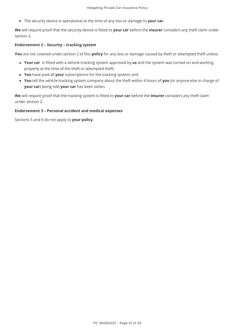The security device is operational at the time of any loss or damage to **your car**.

**We** will require proof that the security device is fitted to **your car** before the **insurer** considers any theft claim under section 2.

#### **Endorsement 2 – Security – tracking system**

**You** are not covered under section 2 of this **policy** for any loss or damage caused by theft or attempted theft unless:

- **Your car** is fitted with a vehicle-tracking system approved by **us** and the system was turned on and working properly at the time of the theft or attempted theft;
- **You** have paid all **your** subscriptions for the tracking system; and
- **You** tell the vehicle-tracking system company about the theft within 4 hours of **you** (or anyone else in charge of **your car**) being told **your car** has been stolen.

**We** will require proof that the tracking system is fitted to **your car** before the **insurer** considers any theft claim under section 2.

#### **Endorsement 3 – Personal accident and medical expenses**

Sections 5 and 6 do not apply to **your policy**.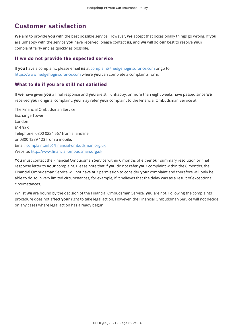# **Customer satisfaction**

**We** aim to provide **you** with the best possible service. However, **we** accept that occasionally things go wrong. If **you** are unhappy with the service **you** have received, please contact **us**, and **we** will do **our** best to resolve **your** complaint fairly and as quickly as possible.

#### If we do not provide the expected service

If **you** have a complaint, please email **us** at [complaint@hedgehoginsurance.com](mailto:complaint@hedgehoginsurance.com) or go to [https://www.hedgehoginsurance.com](https://www.hedgehoginsurance.com/) where **you** can complete a complaints form.

#### What to do if you are still not satisfied

If **we** have given **you** a final response and **you** are still unhappy, or more than eight weeks have passed since **we** received **your** original complaint, **you** may refer **your** complaint to the Financial Ombudsman Service at:

The Financial Ombudsman Service Exchange Tower London E14 9SR Telephone: 0800 0234 567 from a landline or 0300 1239 123 from a mobile. Email: [complaint.info@financial-ombudsman.org.uk](mailto:complaint.info@financial-ombudsman.org.uk) Website: [http://www.financial-ombudsman.org.uk](http://www.financial-ombudsman.org.uk/)

**You** must contact the Financial Ombudsman Service within 6 months of either **our** summary resolution or final response letter to **your** complaint. Please note that if **you** do not refer **your** complaint within the 6 months, the Financial Ombudsman Service will not have **our** permission to consider **your** complaint and therefore will only be able to do so in very limited circumstances, for example, if it believes that the delay was as a result of exceptional circumstances.

Whilst **we** are bound by the decision of the Financial Ombudsman Service, **you** are not. Following the complaints procedure does not affect **your** right to take legal action. However, the Financial Ombudsman Service will not decide on any cases where legal action has already begun.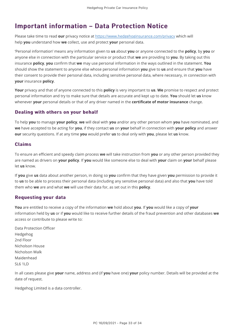# Important information – Data Protection Notice

Please take time to read **our** privacy notice at<https://www.hedgehoginsurance.com/privacy>which will help **you** understand how **we** collect, use and protect **your** personal data.

'Personal information' means any information given to **us** about **you** or anyone connected to the **policy**, by **you** or anyone else in connection with the particular service or product that **we** are providing to **you**. By taking out this insurance **policy**, **you** confirm that **we** may use personal information in the ways outlined in the statement. **You** should show the statement to anyone else whose personal information **you** give to **us** and ensure that **you** have their consent to provide their personal data, including sensitive personal data, where necessary, in connection with **your** insurance **policy**.

**Your** privacy and that of anyone connected to this **policy** is very important to **us**. **We** promise to respect and protect personal information and try to make sure that details are accurate and kept up to date. **You** should let **us** know whenever **your** personal details or that of any driver named in the **certificate of motor insurance** change.

### Dealing with others on your behalf

To help **you** to manage **your policy**, **we** will deal with **you** and/or any other person whom **you** have nominated, and **we** have accepted to be acting for **you**, if they contact **us** on **your** behalf in connection with **your policy** and answer **our** security questions. If at any time **you** would prefer **us** to deal only with **you**, please let **us** know.

#### Claims

To ensure an efficient and speedy claim process **we** will take instruction from **you** or any other person provided they are named as drivers on **your policy**. If **you** would like someone else to deal with **your** claim on **your** behalf please let **us** know.

If **you** give **us** data about another person, in doing so **you** confirm that they have given **you** permission to provide it to **us** to be able to process their personal data (including any sensitive personal data) and also that **you** have told them who **we** are and what **we** will use their data for, as set out in this **policy**.

### **Requesting your data**

**You** are entitled to receive a copy of the information **we** hold about **you**. If **you** would like a copy of **your** information held by **us** or if **you** would like to receive further details of the fraud prevention and other databases **we** access or contribute to please write to:

Data Protection Officer Hedgehog 2nd Floor Nicholson House Nicholson Walk Maidenhead SL6 1LD

In all cases please give **your** name, address and (if **you** have one) **your** policy number. Details will be provided at the date of request.

Hedgehog Limited is a data controller.